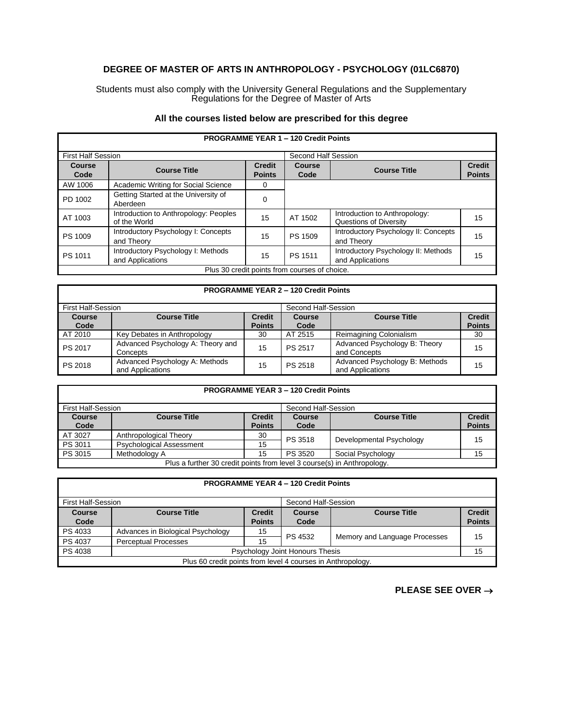## **DEGREE OF MASTER OF ARTS IN ANTHROPOLOGY - PSYCHOLOGY (01LC6870)**

Students must also comply with the University General Regulations and the Supplementary Regulations for the Degree of Master of Arts

## **All the courses listed below are prescribed for this degree**

| <b>PROGRAMME YEAR 1 - 120 Credit Points</b>   |                                                        |                                |                     |                                                         |                                |
|-----------------------------------------------|--------------------------------------------------------|--------------------------------|---------------------|---------------------------------------------------------|--------------------------------|
| <b>First Half Session</b>                     |                                                        |                                | Second Half Session |                                                         |                                |
| <b>Course</b><br>Code                         | <b>Course Title</b>                                    | <b>Credit</b><br><b>Points</b> | Course<br>Code      | <b>Course Title</b>                                     | <b>Credit</b><br><b>Points</b> |
| AW 1006                                       | Academic Writing for Social Science                    | 0                              |                     |                                                         |                                |
| PD 1002                                       | Getting Started at the University of<br>Aberdeen       | $\Omega$                       |                     |                                                         |                                |
| AT 1003                                       | Introduction to Anthropology: Peoples<br>of the World  | 15                             | AT 1502             | Introduction to Anthropology:<br>Questions of Diversity | 15                             |
| PS 1009                                       | Introductory Psychology I: Concepts<br>and Theory      | 15                             | PS 1509             | Introductory Psychology II: Concepts<br>and Theory      | 15                             |
| PS 1011                                       | Introductory Psychology I: Methods<br>and Applications | 15                             | PS 1511             | Introductory Psychology II: Methods<br>and Applications | 15                             |
| Plus 30 credit points from courses of choice. |                                                        |                                |                     |                                                         |                                |

| <b>PROGRAMME YEAR 2 - 120 Credit Points</b> |                                                    |               |                     |                                                    |               |
|---------------------------------------------|----------------------------------------------------|---------------|---------------------|----------------------------------------------------|---------------|
| <b>First Half-Session</b>                   |                                                    |               | Second Half-Session |                                                    |               |
| <b>Course</b>                               | <b>Course Title</b>                                | <b>Credit</b> | <b>Course</b>       | <b>Course Title</b>                                | <b>Credit</b> |
| Code                                        |                                                    | <b>Points</b> | Code                |                                                    | <b>Points</b> |
| AT 2010                                     | Key Debates in Anthropology                        | 30            | AT 2515             | Reimagining Colonialism                            | 30            |
| PS 2017                                     | Advanced Psychology A: Theory and                  | 15            | PS 2517             | Advanced Psychology B: Theory                      | 15            |
|                                             | Concepts                                           |               |                     | and Concepts                                       |               |
| PS 2018                                     | Advanced Psychology A: Methods<br>and Applications | 15            | PS 2518             | Advanced Psychology B: Methods<br>and Applications | 15            |

## **PROGRAMME YEAR 3 – 120 Credit Points**

| First Half-Session                                                      |                                 | Second Half-Session |               |                          |               |
|-------------------------------------------------------------------------|---------------------------------|---------------------|---------------|--------------------------|---------------|
| <b>Course</b>                                                           | <b>Course Title</b>             | <b>Credit</b>       | <b>Course</b> | <b>Course Title</b>      | <b>Credit</b> |
| Code                                                                    |                                 | <b>Points</b>       | Code          |                          | <b>Points</b> |
| AT 3027                                                                 | Anthropological Theory          | 30                  | PS 3518       | Developmental Psychology | 15            |
| PS 3011                                                                 | <b>Psychological Assessment</b> | 15                  |               |                          |               |
| PS 3015                                                                 | Methodology A                   | 15                  | PS 3520       | Social Psychology        | 15            |
| Plus a further 30 credit points from level 3 course(s) in Anthropology. |                                 |                     |               |                          |               |

| <b>PROGRAMME YEAR 4 - 120 Credit Points</b>      |                                                             |               |                                 |                               |               |  |
|--------------------------------------------------|-------------------------------------------------------------|---------------|---------------------------------|-------------------------------|---------------|--|
| <b>First Half-Session</b><br>Second Half-Session |                                                             |               |                                 |                               |               |  |
| <b>Course</b>                                    | <b>Course Title</b>                                         | <b>Credit</b> | Course                          | <b>Course Title</b>           | <b>Credit</b> |  |
| Code                                             |                                                             | <b>Points</b> | Code                            |                               | <b>Points</b> |  |
| PS 4033                                          | Advances in Biological Psychology                           | 15            | PS 4532                         | Memory and Language Processes | 15            |  |
| PS 4037                                          | <b>Perceptual Processes</b>                                 | 15            |                                 |                               |               |  |
| PS 4038                                          |                                                             |               | Psychology Joint Honours Thesis |                               | 15            |  |
|                                                  | Plus 60 credit points from level 4 courses in Anthropology. |               |                                 |                               |               |  |

**PLEASE SEE OVER** →